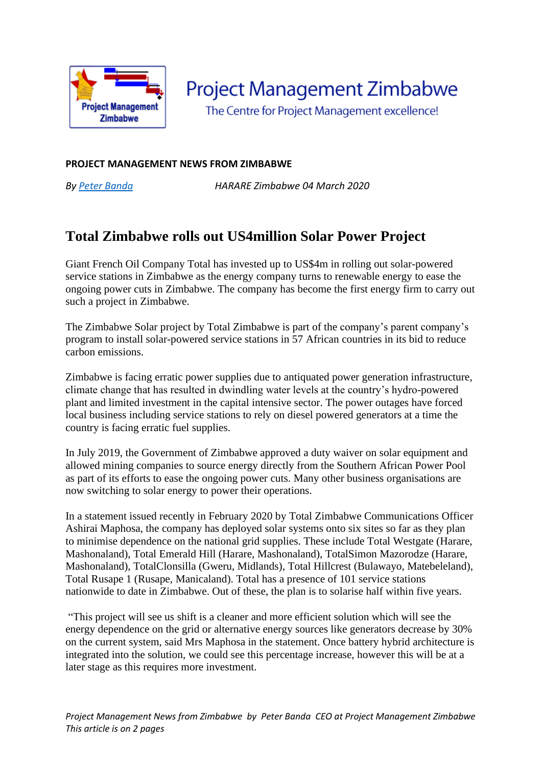

**Project Management Zimbabwe** 

The Centre for Project Management excellence!

## **PROJECT MANAGEMENT NEWS FROM ZIMBABWE**

*By [Peter Banda](https://pmworldlibrary.net/authors/peter-banda-2/) HARARE Zimbabwe 04 March 2020*

## **Total Zimbabwe rolls out US4million Solar Power Project**

Giant French Oil Company Total has invested up to US\$4m in rolling out solar-powered service stations in Zimbabwe as the energy company turns to renewable energy to ease the ongoing power cuts in Zimbabwe. The company has become the first energy firm to carry out such a project in Zimbabwe.

The Zimbabwe Solar project by Total Zimbabwe is part of the company's parent company's program to install solar-powered service stations in 57 African countries in its bid to reduce carbon emissions.

Zimbabwe is facing erratic power supplies due to antiquated power generation infrastructure, climate change that has resulted in dwindling water levels at the country's hydro-powered plant and limited investment in the capital intensive sector. The power outages have forced local business including service stations to rely on diesel powered generators at a time the country is facing erratic fuel supplies.

In July 2019, the Government of Zimbabwe approved a duty waiver on solar equipment and allowed mining companies to source energy directly from the Southern African Power Pool as part of its efforts to ease the ongoing power cuts. Many other business organisations are now switching to solar energy to power their operations.

In a statement issued recently in February 2020 by Total Zimbabwe Communications Officer Ashirai Maphosa, the company has deployed solar systems onto six sites so far as they plan to minimise dependence on the national grid supplies. These include Total Westgate (Harare, Mashonaland), Total Emerald Hill (Harare, Mashonaland), TotalSimon Mazorodze (Harare, Mashonaland), TotalClonsilla (Gweru, Midlands), Total Hillcrest (Bulawayo, Matebeleland), Total Rusape 1 (Rusape, Manicaland). Total has a presence of 101 service stations nationwide to date in Zimbabwe. Out of these, the plan is to solarise half within five years.

"This project will see us shift is a cleaner and more efficient solution which will see the energy dependence on the grid or alternative energy sources like generators decrease by 30% on the current system, said Mrs Maphosa in the statement. Once battery hybrid architecture is integrated into the solution, we could see this percentage increase, however this will be at a later stage as this requires more investment.